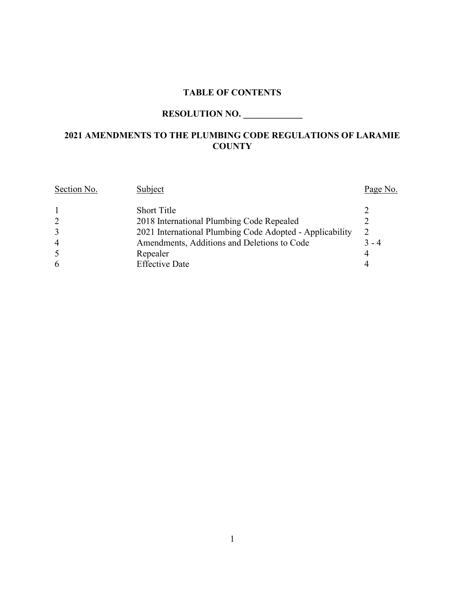### **TABLE OF CONTENTS**

# **RESOLUTION NO. \_\_\_\_\_\_\_\_\_\_\_\_\_**

## **2021 AMENDMENTS TO THE PLUMBING CODE REGULATIONS OF LARAMIE COUNTY**

| Section No.    | Subject                                                  | Page No. |
|----------------|----------------------------------------------------------|----------|
|                | <b>Short Title</b>                                       |          |
| 2              | 2018 International Plumbing Code Repealed                |          |
| 3              | 2021 International Plumbing Code Adopted - Applicability | 2        |
| $\overline{4}$ | Amendments, Additions and Deletions to Code              | $3 - 4$  |
| 5              | Repealer                                                 |          |
| 6              | <b>Effective Date</b>                                    |          |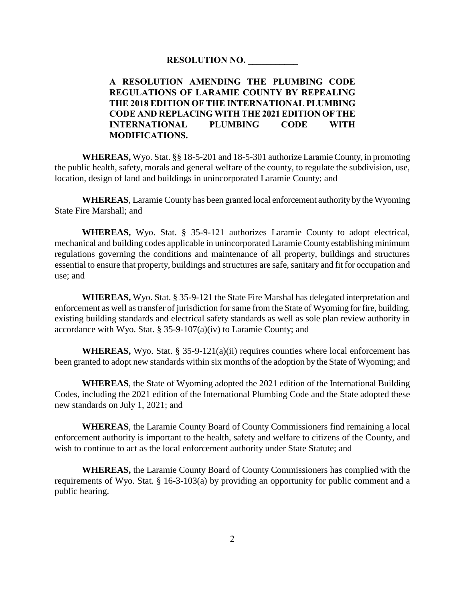#### **RESOLUTION NO. \_\_\_\_\_\_\_\_\_\_\_**

### **A RESOLUTION AMENDING THE PLUMBING CODE REGULATIONS OF LARAMIE COUNTY BY REPEALING THE 2018 EDITION OF THE INTERNATIONAL PLUMBING CODE AND REPLACING WITH THE 2021 EDITION OF THE INTERNATIONAL PLUMBING CODE WITH MODIFICATIONS.**

**WHEREAS,** Wyo. Stat. §§ 18-5-201 and 18-5-301 authorize Laramie County, in promoting the public health, safety, morals and general welfare of the county, to regulate the subdivision, use, location, design of land and buildings in unincorporated Laramie County; and

**WHEREAS**, Laramie County has been granted local enforcement authority by the Wyoming State Fire Marshall; and

**WHEREAS,** Wyo. Stat. § 35-9-121 authorizes Laramie County to adopt electrical, mechanical and building codes applicable in unincorporated Laramie County establishing minimum regulations governing the conditions and maintenance of all property, buildings and structures essential to ensure that property, buildings and structures are safe, sanitary and fit for occupation and use; and

**WHEREAS,** Wyo. Stat. § 35-9-121 the State Fire Marshal has delegated interpretation and enforcement as well as transfer of jurisdiction for same from the State of Wyoming for fire, building, existing building standards and electrical safety standards as well as sole plan review authority in accordance with Wyo. Stat. § 35-9-107(a)(iv) to Laramie County; and

**WHEREAS,** Wyo. Stat.  $\S$  35-9-121(a)(ii) requires counties where local enforcement has been granted to adopt new standards within six months of the adoption by the State of Wyoming; and

**WHEREAS**, the State of Wyoming adopted the 2021 edition of the International Building Codes, including the 2021 edition of the International Plumbing Code and the State adopted these new standards on July 1, 2021; and

**WHEREAS**, the Laramie County Board of County Commissioners find remaining a local enforcement authority is important to the health, safety and welfare to citizens of the County, and wish to continue to act as the local enforcement authority under State Statute; and

**WHEREAS,** the Laramie County Board of County Commissioners has complied with the requirements of Wyo. Stat. § 16-3-103(a) by providing an opportunity for public comment and a public hearing.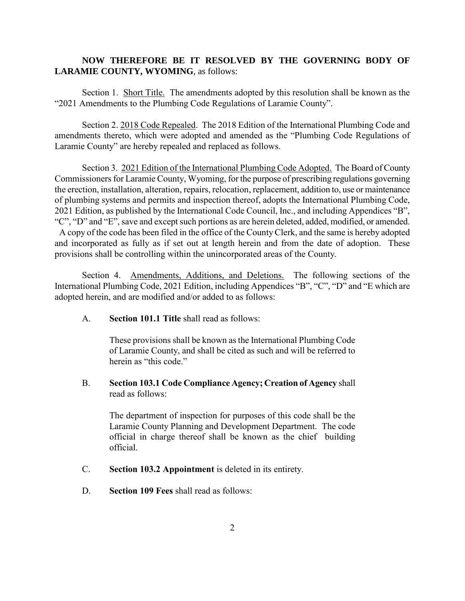### **NOW THEREFORE BE IT RESOLVED BY THE GOVERNING BODY OF LARAMIE COUNTY, WYOMING**, as follows:

Section 1. Short Title. The amendments adopted by this resolution shall be known as the "2021 Amendments to the Plumbing Code Regulations of Laramie County".

Section 2. 2018 Code Repealed. The 2018 Edition of the International Plumbing Code and amendments thereto, which were adopted and amended as the "Plumbing Code Regulations of Laramie County" are hereby repealed and replaced as follows.

Section 3. 2021 Edition of the International Plumbing Code Adopted. The Board of County Commissioners for Laramie County, Wyoming, for the purpose of prescribing regulations governing the erection, installation, alteration, repairs, relocation, replacement, addition to, use or maintenance of plumbing systems and permits and inspection thereof, adopts the International Plumbing Code, 2021 Edition, as published by the International Code Council, Inc., and including Appendices "B", "C", "D" and "E", save and except such portions as are herein deleted, added, modified, or amended. A copy of the code has been filed in the office of the County Clerk, and the same is hereby adopted

and incorporated as fully as if set out at length herein and from the date of adoption. These provisions shall be controlling within the unincorporated areas of the County.

Section 4. Amendments, Additions, and Deletions. The following sections of the International Plumbing Code, 2021 Edition, including Appendices "B", "C", "D" and "E which are adopted herein, and are modified and/or added to as follows:

A. **Section 101.1 Title** shall read as follows:

These provisions shall be known as the International Plumbing Code of Laramie County, and shall be cited as such and will be referred to herein as "this code."

B. **Section 103.1 Code Compliance Agency; Creation of Agency** shall read as follows:

The department of inspection for purposes of this code shall be the Laramie County Planning and Development Department. The code official in charge thereof shall be known as the chief building official.

- C. **Section 103.2 Appointment** is deleted in its entirety.
- D. **Section 109 Fees** shall read as follows: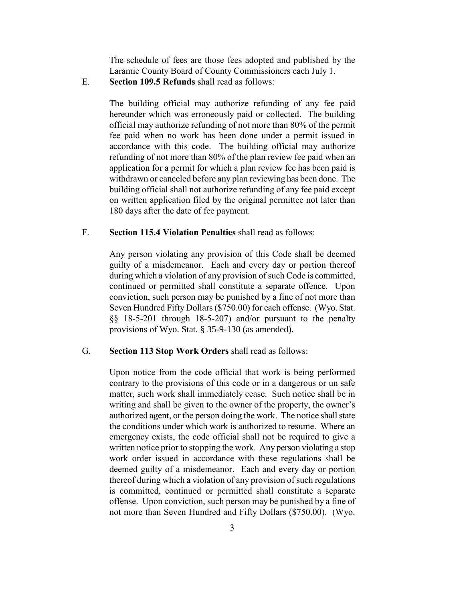The schedule of fees are those fees adopted and published by the Laramie County Board of County Commissioners each July 1.

E. **Section 109.5 Refunds** shall read as follows:

The building official may authorize refunding of any fee paid hereunder which was erroneously paid or collected. The building official may authorize refunding of not more than 80% of the permit fee paid when no work has been done under a permit issued in accordance with this code. The building official may authorize refunding of not more than 80% of the plan review fee paid when an application for a permit for which a plan review fee has been paid is withdrawn or canceled before any plan reviewing has been done. The building official shall not authorize refunding of any fee paid except on written application filed by the original permittee not later than 180 days after the date of fee payment.

#### F. **Section 115.4 Violation Penalties** shall read as follows:

Any person violating any provision of this Code shall be deemed guilty of a misdemeanor. Each and every day or portion thereof during which a violation of any provision of such Code is committed, continued or permitted shall constitute a separate offence. Upon conviction, such person may be punished by a fine of not more than Seven Hundred Fifty Dollars (\$750.00) for each offense. (Wyo. Stat. §§ 18-5-201 through 18-5-207) and/or pursuant to the penalty provisions of Wyo. Stat. § 35-9-130 (as amended).

#### G. **Section 113 Stop Work Orders** shall read as follows:

Upon notice from the code official that work is being performed contrary to the provisions of this code or in a dangerous or un safe matter, such work shall immediately cease. Such notice shall be in writing and shall be given to the owner of the property, the owner's authorized agent, or the person doing the work. The notice shall state the conditions under which work is authorized to resume. Where an emergency exists, the code official shall not be required to give a written notice prior to stopping the work. Any person violating a stop work order issued in accordance with these regulations shall be deemed guilty of a misdemeanor. Each and every day or portion thereof during which a violation of any provision of such regulations is committed, continued or permitted shall constitute a separate offense. Upon conviction, such person may be punished by a fine of not more than Seven Hundred and Fifty Dollars (\$750.00). (Wyo.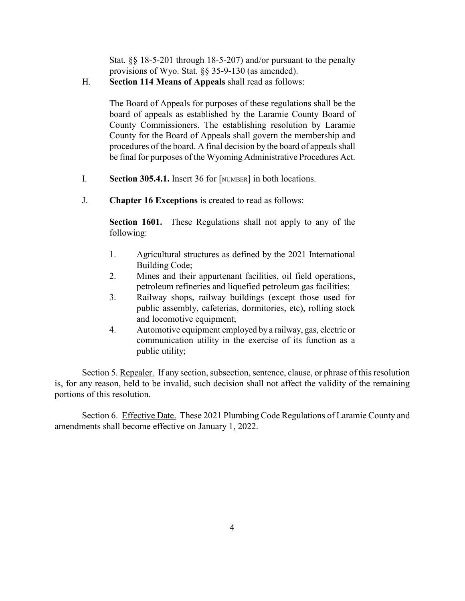Stat. §§ 18-5-201 through 18-5-207) and/or pursuant to the penalty provisions of Wyo. Stat. §§ 35-9-130 (as amended).

H. **Section 114 Means of Appeals** shall read as follows:

The Board of Appeals for purposes of these regulations shall be the board of appeals as established by the Laramie County Board of County Commissioners. The establishing resolution by Laramie County for the Board of Appeals shall govern the membership and procedures of the board. A final decision by the board of appeals shall be final for purposes of the Wyoming Administrative Procedures Act.

- I. **Section 305.4.1.** Insert 36 for [NUMBER] in both locations.
- J. **Chapter 16 Exceptions** is created to read as follows:

**Section 1601.** These Regulations shall not apply to any of the following:

- 1. Agricultural structures as defined by the 2021 International Building Code;
- 2. Mines and their appurtenant facilities, oil field operations, petroleum refineries and liquefied petroleum gas facilities;
- 3. Railway shops, railway buildings (except those used for public assembly, cafeterias, dormitories, etc), rolling stock and locomotive equipment;
- 4. Automotive equipment employed by a railway, gas, electric or communication utility in the exercise of its function as a public utility;

Section 5. Repealer. If any section, subsection, sentence, clause, or phrase of this resolution is, for any reason, held to be invalid, such decision shall not affect the validity of the remaining portions of this resolution.

Section 6. Effective Date. These 2021 Plumbing Code Regulations of Laramie County and amendments shall become effective on January 1, 2022.